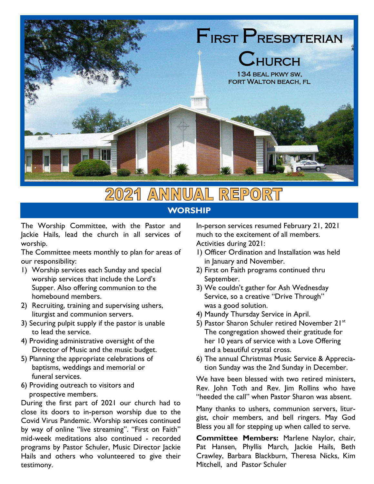

#### **2021 ANNUAL** REPORT **WORSHIP**

The Worship Committee, with the Pastor and Jackie Hails, lead the church in all services of worship.

The Committee meets monthly to plan for areas of our responsibility:

- 1) Worship services each Sunday and special worship services that include the Lord's Supper. Also offering communion to the homebound members.
- 2) Recruiting, training and supervising ushers, liturgist and communion servers.
- 3) Securing pulpit supply if the pastor is unable to lead the service.
- 4) Providing administrative oversight of the Director of Music and the music budget.
- 5) Planning the appropriate celebrations of baptisms, weddings and memorial or funeral services.
- 6) Providing outreach to visitors and prospective members.

During the first part of 2021 our church had to close its doors to in-person worship due to the Covid Virus Pandemic. Worship services continued by way of online "live streaming". "First on Faith" mid-week meditations also continued - recorded programs by Pastor Schuler, Music Director Jackie Hails and others who volunteered to give their testimony.

In-person services resumed February 21, 2021 much to the excitement of all members. Activities during 2021:

- 1) Officer Ordination and Installation was held in January and November.
- 2) First on Faith programs continued thru September.
- 3) We couldn't gather for Ash Wednesday Service, so a creative "Drive Through" was a good solution.
- 4) Maundy Thursday Service in April.
- 5) Pastor Sharon Schuler retired November 21st The congregation showed their gratitude for her 10 years of service with a Love Offering and a beautiful crystal cross.
- 6) The annual Christmas Music Service & Appreciation Sunday was the 2nd Sunday in December.

We have been blessed with two retired ministers, Rev. John Toth and Rev. Jim Rollins who have "heeded the call" when Pastor Sharon was absent.

Many thanks to ushers, communion servers, liturgist, choir members, and bell ringers. May God Bless you all for stepping up when called to serve.

**Committee Members:** Marlene Naylor, chair, Pat Hansen, Phyllis March, Jackie Hails, Beth Crawley, Barbara Blackburn, Theresa Nicks, Kim Mitchell, and Pastor Schuler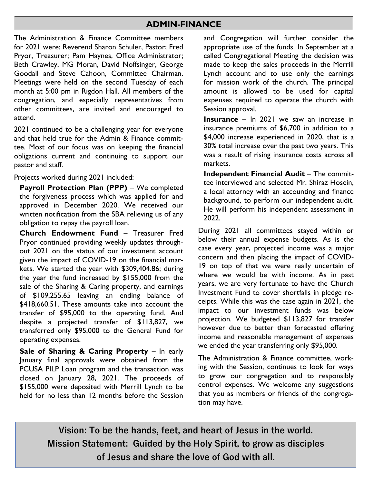### **ADMIN-FINANCE**

The Administration & Finance Committee members for 2021 were: Reverend Sharon Schuler, Pastor; Fred Pryor, Treasurer; Pam Haynes, Office Administrator; Beth Crawley, MG Moran, David Noffsinger, George Goodall and Steve Cahoon, Committee Chairman. Meetings were held on the second Tuesday of each month at 5:00 pm in Rigdon Hall. All members of the congregation, and especially representatives from other committees, are invited and encouraged to attend.

2021 continued to be a challenging year for everyone and that held true for the Admin & Finance committee. Most of our focus was on keeping the financial obligations current and continuing to support our pastor and staff.

Projects worked during 2021 included:

**Payroll Protection Plan (PPP)** – We completed the forgiveness process which was applied for and approved in December 2020. We received our written notification from the SBA relieving us of any obligation to repay the payroll loan.

**Church Endowment Fund** – Treasurer Fred Pryor continued providing weekly updates throughout 2021 on the status of our investment account given the impact of COVID-19 on the financial markets. We started the year with \$309,404.86; during the year the fund increased by \$155,000 from the sale of the Sharing & Caring property, and earnings of \$109,255.65 leaving an ending balance of \$418,660.51. These amounts take into account the transfer of \$95,000 to the operating fund. And despite a projected transfer of \$113,827, we transferred only \$95,000 to the General Fund for operating expenses.

**Sale of Sharing & Caring Property** – In early January final approvals were obtained from the PCUSA PILP Loan program and the transaction was closed on January 28, 2021. The proceeds of \$155,000 were deposited with Merrill Lynch to be held for no less than 12 months before the Session

and Congregation will further consider the appropriate use of the funds. In September at a called Congregational Meeting the decision was made to keep the sales proceeds in the Merrill Lynch account and to use only the earnings for mission work of the church. The principal amount is allowed to be used for capital expenses required to operate the church with Session approval.

**Insurance** – In 2021 we saw an increase in insurance premiums of \$6,700 in addition to a \$4,000 increase experienced in 2020, that is a 30% total increase over the past two years. This was a result of rising insurance costs across all markets.

**Independent Financial Audit** – The committee interviewed and selected Mr. Shiraz Hosein, a local attorney with an accounting and finance background, to perform our independent audit. He will perform his independent assessment in 2022.

During 2021 all committees stayed within or below their annual expense budgets. As is the case every year, projected income was a major concern and then placing the impact of COVID-19 on top of that we were really uncertain of where we would be with income. As in past years, we are very fortunate to have the Church Investment Fund to cover shortfalls in pledge receipts. While this was the case again in 2021, the impact to our investment funds was below projection. We budgeted \$113,827 for transfer however due to better than forecasted offering income and reasonable management of expenses we ended the year transferring only \$95,000.

The Administration & Finance committee, working with the Session, continues to look for ways to grow our congregation and to responsibly control expenses. We welcome any suggestions that you as members or friends of the congregation may have.

**Vision: To be the hands, feet, and heart of Jesus in the world. Mission Statement: Guided by the Holy Spirit, to grow as disciples of Jesus and share the love of God with all.**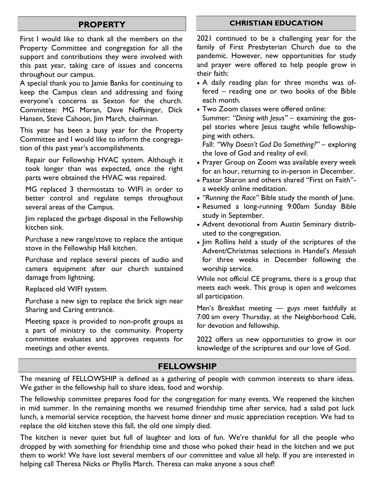### **PROPERTY**

First I would like to thank all the members on the Property Committee and congregation for all the support and contributions they were involved with this past year, taking care of issues and concerns throughout our campus.

A special thank you to Jamie Banks for continuing to keep the Campus clean and addressing and fixing everyone's concerns as Sexton for the church. Committee: MG Moran, Dave Noffsinger, Dick Hansen, Steve Cahoon, Jim March, chairman.

This year has been a busy year for the Property Committee and I would like to inform the congregation of this past year's accomplishments.

Repair our Fellowship HVAC system. Although it took longer than was expected, once the right parts were obtained the HVAC was repaired.

MG replaced 3 thermostats to WIFI in order to better control and regulate temps throughout several areas of the Campus.

Jim replaced the garbage disposal in the Fellowship kitchen sink.

Purchase a new range/stove to replace the antique stove in the Fellowship Hall kitchen.

Purchase and replace several pieces of audio and camera equipment after our church sustained damage from lightning.

Replaced old WIFI system.

Purchase a new sign to replace the brick sign near Sharing and Caring entrance.

Meeting space is provided to non-profit groups as a part of ministry to the community. Property committee evaluates and approves requests for meetings and other events.

#### **CHRISTIAN EDUCATION**

2021 continued to be a challenging year for the family of First Presbyterian Church due to the pandemic. However, new opportunities for study and prayer were offered to help people grow in their faith:

- A daily reading plan for three months was offered – reading one or two books of the Bible each month.
- Two Zoom classes were offered online: Summer: *"Dining with Jesus"* – examining the gospel stories where Jesus taught while fellowshipping with others.

Fall: *"Why Doesn't God Do Something?"* – exploring the love of God and reality of evil.

- Prayer Group on Zoom was available every week for an hour, returning to in-person in December.
- Pastor Sharon and others shared "First on Faith" a weekly online meditation.
- *"Running the Race"* Bible study the month of June.
- Resumed a long-running 9:00am Sunday Bible study in September.
- Advent devotional from Austin Seminary distributed to the congregation.
- Jim Rollins held a study of the scriptures of the Advent/Christmas selections in Handel's *Messiah* for three weeks in December following the worship service.

While not official CE programs, there is a group that meets each week. This group is open and welcomes all participation.

Men's Breakfast meeting — guys meet faithfully at 7:00 am every Thursday, at the Neighborhood Café, for devotion and fellowship.

2022 offers us new opportunities to grow in our knowledge of the scriptures and our love of God.

# **FELLOWSHIP**

The meaning of FELLOWSHIP is defined as a gathering of people with common interests to share ideas. We gather in the fellowship hall to share ideas, food and worship.

The fellowship committee prepares food for the congregation for many events. We reopened the kitchen in mid summer. In the remaining months we resumed friendship time after service, had a salad pot luck lunch, a memorial service reception, the harvest home dinner and music appreciation reception. We had to replace the old kitchen stove this fall, the old one simply died.

The kitchen is never quiet but full of laughter and lots of fun. We're thankful for all the people who dropped by with something for friendship time and those who poked their head in the kitchen and we put them to work! We have lost several members of our committee and value all help. If you are interested in helping call Theresa Nicks or Phyllis March. Theresa can make anyone a sous chef!